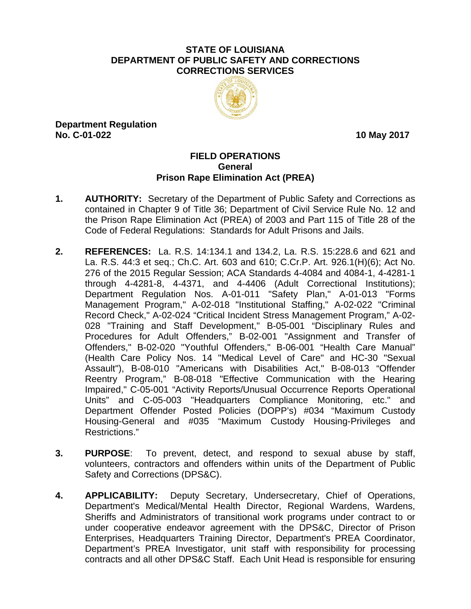#### **STATE OF LOUISIANA DEPARTMENT OF PUBLIC SAFETY AND CORRECTIONS CORRECTIONS SERVICES**



**Department Regulation No. C-01-022** 10 May 2017

# **FIELD OPERATIONS General Prison Rape Elimination Act (PREA)**

- **1. AUTHORITY:** Secretary of the Department of Public Safety and Corrections as contained in Chapter 9 of Title 36; Department of Civil Service Rule No. 12 and the Prison Rape Elimination Act (PREA) of 2003 and Part 115 of Title 28 of the Code of Federal Regulations: Standards for Adult Prisons and Jails.
- **2. REFERENCES:** La. R.S. 14:134.1 and 134.2, La. R.S. 15:228.6 and 621 and La. R.S. 44:3 et seq.; Ch.C. Art. 603 and 610; C.Cr.P. Art. 926.1(H)(6); Act No. 276 of the 2015 Regular Session; ACA Standards 4-4084 and 4084-1, 4-4281-1 through 4-4281-8, 4-4371, and 4-4406 (Adult Correctional Institutions); Department Regulation Nos. A-01-011 "Safety Plan," A-01-013 "Forms Management Program," A-02-018 "Institutional Staffing," A-02-022 "Criminal Record Check," A-02-024 "Critical Incident Stress Management Program," A-02- 028 "Training and Staff Development," B-05-001 "Disciplinary Rules and Procedures for Adult Offenders," B-02-001 "Assignment and Transfer of Offenders," B-02-020 "Youthful Offenders," B-06-001 "Health Care Manual" (Health Care Policy Nos. 14 "Medical Level of Care" and HC-30 "Sexual Assault"), B-08-010 "Americans with Disabilities Act," B-08-013 "Offender Reentry Program," B-08-018 "Effective Communication with the Hearing Impaired," C-05-001 "Activity Reports/Unusual Occurrence Reports Operational Units" and C-05-003 "Headquarters Compliance Monitoring, etc." and Department Offender Posted Policies (DOPP's) #034 "Maximum Custody Housing-General and #035 "Maximum Custody Housing-Privileges and Restrictions."
- **3. PURPOSE**: To prevent, detect, and respond to sexual abuse by staff, volunteers, contractors and offenders within units of the Department of Public Safety and Corrections (DPS&C).
- **4. APPLICABILITY:** Deputy Secretary, Undersecretary, Chief of Operations, Department's Medical/Mental Health Director, Regional Wardens, Wardens, Sheriffs and Administrators of transitional work programs under contract to or under cooperative endeavor agreement with the DPS&C, Director of Prison Enterprises, Headquarters Training Director, Department's PREA Coordinator, Department's PREA Investigator, unit staff with responsibility for processing contracts and all other DPS&C Staff. Each Unit Head is responsible for ensuring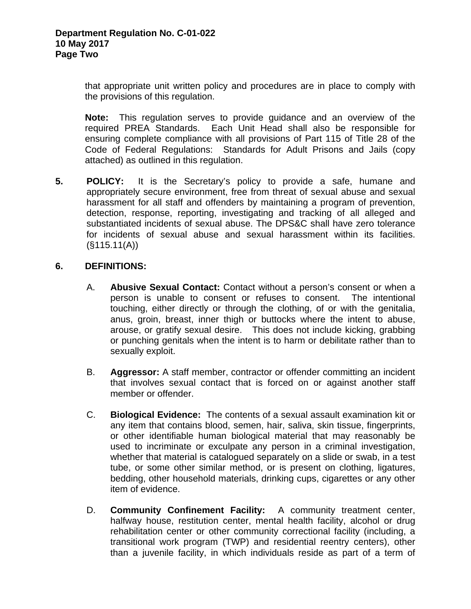that appropriate unit written policy and procedures are in place to comply with the provisions of this regulation.

**Note:** This regulation serves to provide guidance and an overview of the required PREA Standards. Each Unit Head shall also be responsible for ensuring complete compliance with all provisions of Part 115 of Title 28 of the Code of Federal Regulations: Standards for Adult Prisons and Jails (copy attached) as outlined in this regulation.

**5. POLICY:** It is the Secretary's policy to provide a safe, humane and appropriately secure environment, free from threat of sexual abuse and sexual harassment for all staff and offenders by maintaining a program of prevention, detection, response, reporting, investigating and tracking of all alleged and substantiated incidents of sexual abuse. The DPS&C shall have zero tolerance for incidents of sexual abuse and sexual harassment within its facilities.  $(S115.11(A))$ 

# **6. DEFINITIONS:**

- A. **Abusive Sexual Contact:** Contact without a person's consent or when a person is unable to consent or refuses to consent.The intentional touching, either directly or through the clothing, of or with the genitalia, anus, groin, breast, inner thigh or buttocks where the intent to abuse, arouse, or gratify sexual desire. This does not include kicking, grabbing or punching genitals when the intent is to harm or debilitate rather than to sexually exploit.
- B. **Aggressor:** A staff member, contractor or offender committing an incident that involves sexual contact that is forced on or against another staff member or offender.
- C. **Biological Evidence:** The contents of a sexual assault examination kit or any item that contains blood, semen, hair, saliva, skin tissue, fingerprints, or other identifiable human biological material that may reasonably be used to incriminate or exculpate any person in a criminal investigation, whether that material is catalogued separately on a slide or swab, in a test tube, or some other similar method, or is present on clothing, ligatures, bedding, other household materials, drinking cups, cigarettes or any other item of evidence.
- D. **Community Confinement Facility:** A community treatment center, halfway house, restitution center, mental health facility, alcohol or drug rehabilitation center or other community correctional facility (including, a transitional work program (TWP) and residential reentry centers), other than a juvenile facility, in which individuals reside as part of a term of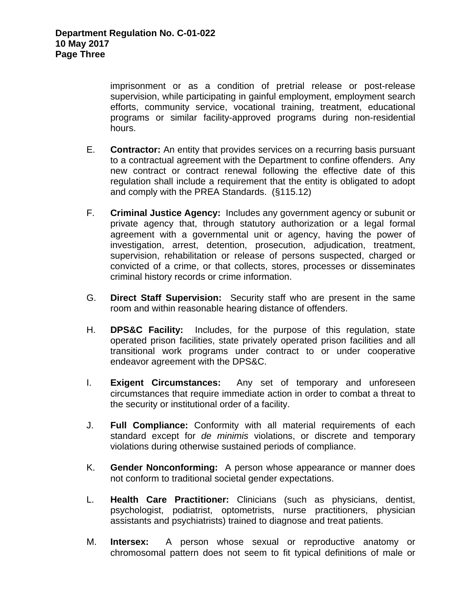imprisonment or as a condition of pretrial release or post-release supervision, while participating in gainful employment, employment search efforts, community service, vocational training, treatment, educational programs or similar facility-approved programs during non-residential hours.

- E. **Contractor:** An entity that provides services on a recurring basis pursuant to a contractual agreement with the Department to confine offenders. Any new contract or contract renewal following the effective date of this regulation shall include a requirement that the entity is obligated to adopt and comply with the PREA Standards. (§115.12)
- F. **Criminal Justice Agency:** Includes any government agency or subunit or private agency that, through statutory authorization or a legal formal agreement with a governmental unit or agency, having the power of investigation, arrest, detention, prosecution, adjudication, treatment, supervision, rehabilitation or release of persons suspected, charged or convicted of a crime, or that collects, stores, processes or disseminates criminal history records or crime information.
- G. **Direct Staff Supervision:** Security staff who are present in the same room and within reasonable hearing distance of offenders.
- H. **DPS&C Facility:** Includes, for the purpose of this regulation, state operated prison facilities, state privately operated prison facilities and all transitional work programs under contract to or under cooperative endeavor agreement with the DPS&C.
- I. **Exigent Circumstances:** Any set of temporary and unforeseen circumstances that require immediate action in order to combat a threat to the security or institutional order of a facility.
- J. **Full Compliance:** Conformity with all material requirements of each standard except for *de minimis* violations, or discrete and temporary violations during otherwise sustained periods of compliance.
- K. **Gender Nonconforming:** A person whose appearance or manner does not conform to traditional societal gender expectations.
- L. **Health Care Practitioner:** Clinicians (such as physicians, dentist, psychologist, podiatrist, optometrists, nurse practitioners, physician assistants and psychiatrists) trained to diagnose and treat patients.
- M. **Intersex:** A person whose sexual or reproductive anatomy or chromosomal pattern does not seem to fit typical definitions of male or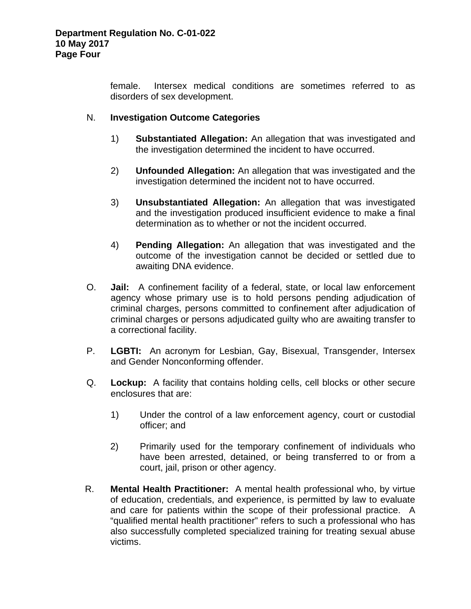female. Intersex medical conditions are sometimes referred to as disorders of sex development.

### N. **Investigation Outcome Categories**

- 1) **Substantiated Allegation:** An allegation that was investigated and the investigation determined the incident to have occurred.
- 2) **Unfounded Allegation:** An allegation that was investigated and the investigation determined the incident not to have occurred.
- 3) **Unsubstantiated Allegation:** An allegation that was investigated and the investigation produced insufficient evidence to make a final determination as to whether or not the incident occurred.
- 4) **Pending Allegation:** An allegation that was investigated and the outcome of the investigation cannot be decided or settled due to awaiting DNA evidence.
- O. **Jail:** A confinement facility of a federal, state, or local law enforcement agency whose primary use is to hold persons pending adjudication of criminal charges, persons committed to confinement after adjudication of criminal charges or persons adjudicated guilty who are awaiting transfer to a correctional facility.
- P. **LGBTI:** An acronym for Lesbian, Gay, Bisexual, Transgender, Intersex and Gender Nonconforming offender.
- Q. **Lockup:** A facility that contains holding cells, cell blocks or other secure enclosures that are:
	- 1) Under the control of a law enforcement agency, court or custodial officer; and
	- 2) Primarily used for the temporary confinement of individuals who have been arrested, detained, or being transferred to or from a court, jail, prison or other agency.
- R. **Mental Health Practitioner:** A mental health professional who, by virtue of education, credentials, and experience, is permitted by law to evaluate and care for patients within the scope of their professional practice. A "qualified mental health practitioner" refers to such a professional who has also successfully completed specialized training for treating sexual abuse victims.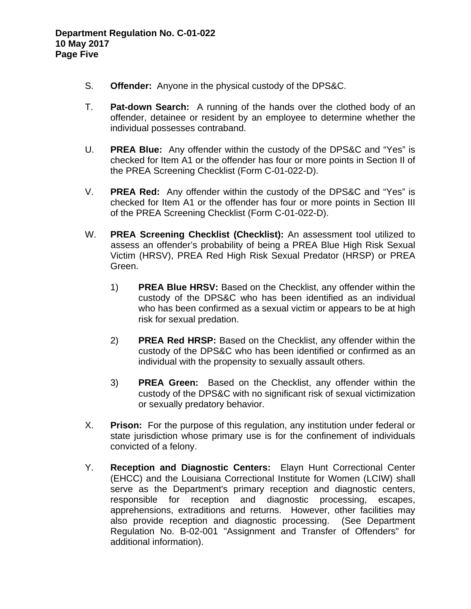- S. **Offender:** Anyone in the physical custody of the DPS&C.
- T. **Pat-down Search:** A running of the hands over the clothed body of an offender, detainee or resident by an employee to determine whether the individual possesses contraband.
- U. **PREA Blue:** Any offender within the custody of the DPS&C and "Yes" is checked for Item A1 or the offender has four or more points in Section II of the PREA Screening Checklist (Form C-01-022-D).
- V. **PREA Red:** Any offender within the custody of the DPS&C and "Yes" is checked for Item A1 or the offender has four or more points in Section III of the PREA Screening Checklist (Form C-01-022-D).
- W. **PREA Screening Checklist (Checklist):** An assessment tool utilized to assess an offender's probability of being a PREA Blue High Risk Sexual Victim (HRSV), PREA Red High Risk Sexual Predator (HRSP) or PREA Green.
	- 1) **PREA Blue HRSV:** Based on the Checklist, any offender within the custody of the DPS&C who has been identified as an individual who has been confirmed as a sexual victim or appears to be at high risk for sexual predation.
	- 2) **PREA Red HRSP:** Based on the Checklist, any offender within the custody of the DPS&C who has been identified or confirmed as an individual with the propensity to sexually assault others.
	- 3) **PREA Green:** Based on the Checklist, any offender within the custody of the DPS&C with no significant risk of sexual victimization or sexually predatory behavior.
- X. **Prison:** For the purpose of this regulation, any institution under federal or state jurisdiction whose primary use is for the confinement of individuals convicted of a felony.
- Y. **Reception and Diagnostic Centers:** Elayn Hunt Correctional Center (EHCC) and the Louisiana Correctional Institute for Women (LCIW) shall serve as the Department's primary reception and diagnostic centers, responsible for reception and diagnostic processing, escapes, apprehensions, extraditions and returns. However, other facilities may also provide reception and diagnostic processing. (See Department Regulation No. B-02-001 "Assignment and Transfer of Offenders" for additional information).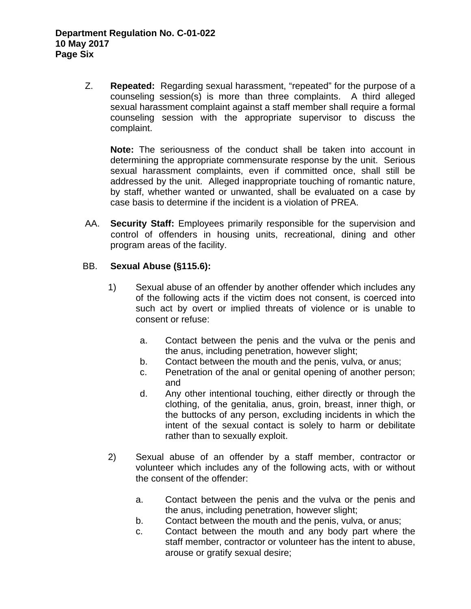Z. **Repeated:** Regarding sexual harassment, "repeated" for the purpose of a counseling session(s) is more than three complaints. A third alleged sexual harassment complaint against a staff member shall require a formal counseling session with the appropriate supervisor to discuss the complaint.

**Note:** The seriousness of the conduct shall be taken into account in determining the appropriate commensurate response by the unit. Serious sexual harassment complaints, even if committed once, shall still be addressed by the unit. Alleged inappropriate touching of romantic nature, by staff, whether wanted or unwanted, shall be evaluated on a case by case basis to determine if the incident is a violation of PREA.

AA. **Security Staff:** Employees primarily responsible for the supervision and control of offenders in housing units, recreational, dining and other program areas of the facility.

# BB. **Sexual Abuse (§115.6):**

- 1) Sexual abuse of an offender by another offender which includes any of the following acts if the victim does not consent, is coerced into such act by overt or implied threats of violence or is unable to consent or refuse:
	- a. Contact between the penis and the vulva or the penis and the anus, including penetration, however slight;
	- b. Contact between the mouth and the penis, vulva, or anus;
	- c. Penetration of the anal or genital opening of another person; and
	- d. Any other intentional touching, either directly or through the clothing, of the genitalia, anus, groin, breast, inner thigh, or the buttocks of any person, excluding incidents in which the intent of the sexual contact is solely to harm or debilitate rather than to sexually exploit.
- 2) Sexual abuse of an offender by a staff member, contractor or volunteer which includes any of the following acts, with or without the consent of the offender:
	- a. Contact between the penis and the vulva or the penis and the anus, including penetration, however slight;
	- b. Contact between the mouth and the penis, vulva, or anus;
	- c. Contact between the mouth and any body part where the staff member, contractor or volunteer has the intent to abuse, arouse or gratify sexual desire;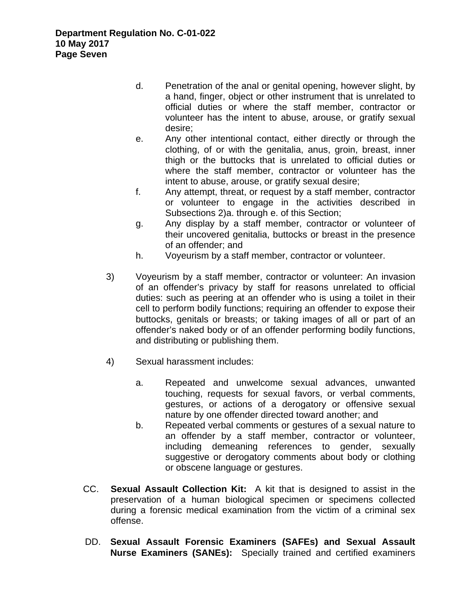- d. Penetration of the anal or genital opening, however slight, by a hand, finger, object or other instrument that is unrelated to official duties or where the staff member, contractor or volunteer has the intent to abuse, arouse, or gratify sexual desire;
- e. Any other intentional contact, either directly or through the clothing, of or with the genitalia, anus, groin, breast, inner thigh or the buttocks that is unrelated to official duties or where the staff member, contractor or volunteer has the intent to abuse, arouse, or gratify sexual desire;
- f. Any attempt, threat, or request by a staff member, contractor or volunteer to engage in the activities described in Subsections 2)a. through e. of this Section;
- g. Any display by a staff member, contractor or volunteer of their uncovered genitalia, buttocks or breast in the presence of an offender; and
- h. Voyeurism by a staff member, contractor or volunteer.
- 3) Voyeurism by a staff member, contractor or volunteer: An invasion of an offender's privacy by staff for reasons unrelated to official duties: such as peering at an offender who is using a toilet in their cell to perform bodily functions; requiring an offender to expose their buttocks, genitals or breasts; or taking images of all or part of an offender's naked body or of an offender performing bodily functions, and distributing or publishing them.
- 4) Sexual harassment includes:
	- a. Repeated and unwelcome sexual advances, unwanted touching, requests for sexual favors, or verbal comments, gestures, or actions of a derogatory or offensive sexual nature by one offender directed toward another; and
	- b. Repeated verbal comments or gestures of a sexual nature to an offender by a staff member, contractor or volunteer, including demeaning references to gender, sexually suggestive or derogatory comments about body or clothing or obscene language or gestures.
- CC. **Sexual Assault Collection Kit:** A kit that is designed to assist in the preservation of a human biological specimen or specimens collected during a forensic medical examination from the victim of a criminal sex offense.
- DD. **Sexual Assault Forensic Examiners (SAFEs) and Sexual Assault Nurse Examiners (SANEs):** Specially trained and certified examiners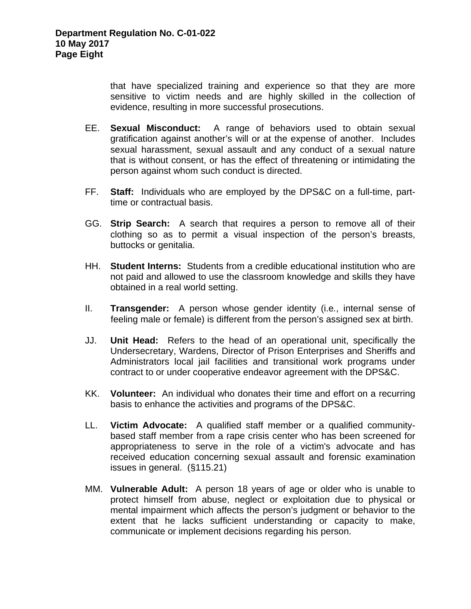that have specialized training and experience so that they are more sensitive to victim needs and are highly skilled in the collection of evidence, resulting in more successful prosecutions.

- EE. **Sexual Misconduct:** A range of behaviors used to obtain sexual gratification against another's will or at the expense of another. Includes sexual harassment, sexual assault and any conduct of a sexual nature that is without consent, or has the effect of threatening or intimidating the person against whom such conduct is directed.
- FF. **Staff:** Individuals who are employed by the DPS&C on a full-time, parttime or contractual basis.
- GG. **Strip Search:** A search that requires a person to remove all of their clothing so as to permit a visual inspection of the person's breasts, buttocks or genitalia.
- HH. **Student Interns:** Students from a credible educational institution who are not paid and allowed to use the classroom knowledge and skills they have obtained in a real world setting.
- II. **Transgender:** A person whose gender identity (i.e*.*, internal sense of feeling male or female) is different from the person's assigned sex at birth.
- JJ. **Unit Head:** Refers to the head of an operational unit, specifically the Undersecretary, Wardens, Director of Prison Enterprises and Sheriffs and Administrators local jail facilities and transitional work programs under contract to or under cooperative endeavor agreement with the DPS&C.
- KK. **Volunteer:** An individual who donates their time and effort on a recurring basis to enhance the activities and programs of the DPS&C.
- LL. **Victim Advocate:** A qualified staff member or a qualified communitybased staff member from a rape crisis center who has been screened for appropriateness to serve in the role of a victim's advocate and has received education concerning sexual assault and forensic examination issues in general. (§115.21)
- MM. **Vulnerable Adult:** A person 18 years of age or older who is unable to protect himself from abuse, neglect or exploitation due to physical or mental impairment which affects the person's judgment or behavior to the extent that he lacks sufficient understanding or capacity to make, communicate or implement decisions regarding his person.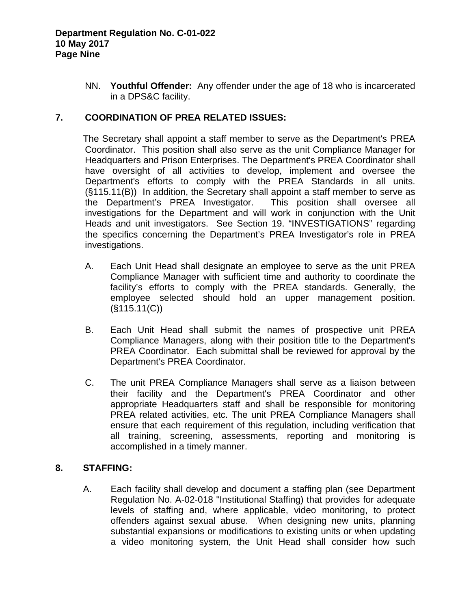NN. **Youthful Offender:**Any offender under the age of 18 who is incarcerated in a DPS&C facility.

# **7. COORDINATION OF PREA RELATED ISSUES:**

The Secretary shall appoint a staff member to serve as the Department's PREA Coordinator. This position shall also serve as the unit Compliance Manager for Headquarters and Prison Enterprises. The Department's PREA Coordinator shall have oversight of all activities to develop, implement and oversee the Department's efforts to comply with the PREA Standards in all units. (§115.11(B)) In addition, the Secretary shall appoint a staff member to serve as the Department's PREA Investigator. This position shall oversee all investigations for the Department and will work in conjunction with the Unit Heads and unit investigators. See Section 19. "INVESTIGATIONS" regarding the specifics concerning the Department's PREA Investigator's role in PREA investigations.

- A. Each Unit Head shall designate an employee to serve as the unit PREA Compliance Manager with sufficient time and authority to coordinate the facility's efforts to comply with the PREA standards. Generally, the employee selected should hold an upper management position.  $(S115.11(C))$
- B. Each Unit Head shall submit the names of prospective unit PREA Compliance Managers, along with their position title to the Department's PREA Coordinator. Each submittal shall be reviewed for approval by the Department's PREA Coordinator.
- C. The unit PREA Compliance Managers shall serve as a liaison between their facility and the Department's PREA Coordinator and other appropriate Headquarters staff and shall be responsible for monitoring PREA related activities, etc. The unit PREA Compliance Managers shall ensure that each requirement of this regulation, including verification that all training, screening, assessments, reporting and monitoring is accomplished in a timely manner.

### **8. STAFFING:**

A. Each facility shall develop and document a staffing plan (see Department Regulation No. A-02-018 "Institutional Staffing) that provides for adequate levels of staffing and, where applicable, video monitoring, to protect offenders against sexual abuse. When designing new units, planning substantial expansions or modifications to existing units or when updating a video monitoring system, the Unit Head shall consider how such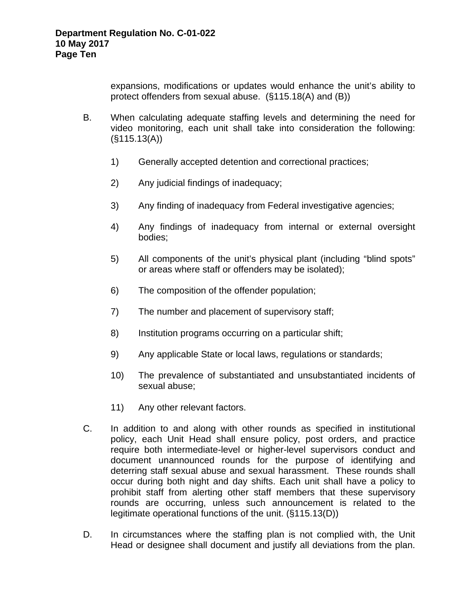expansions, modifications or updates would enhance the unit's ability to protect offenders from sexual abuse. (§115.18(A) and (B))

- B. When calculating adequate staffing levels and determining the need for video monitoring, each unit shall take into consideration the following: (§115.13(A))
	- 1) Generally accepted detention and correctional practices;
	- 2) Any judicial findings of inadequacy;
	- 3) Any finding of inadequacy from Federal investigative agencies;
	- 4) Any findings of inadequacy from internal or external oversight bodies;
	- 5) All components of the unit's physical plant (including "blind spots" or areas where staff or offenders may be isolated);
	- 6) The composition of the offender population;
	- 7) The number and placement of supervisory staff;
	- 8) Institution programs occurring on a particular shift;
	- 9) Any applicable State or local laws, regulations or standards;
	- 10) The prevalence of substantiated and unsubstantiated incidents of sexual abuse;
	- 11) Any other relevant factors.
- C. In addition to and along with other rounds as specified in institutional policy, each Unit Head shall ensure policy, post orders, and practice require both intermediate-level or higher-level supervisors conduct and document unannounced rounds for the purpose of identifying and deterring staff sexual abuse and sexual harassment. These rounds shall occur during both night and day shifts. Each unit shall have a policy to prohibit staff from alerting other staff members that these supervisory rounds are occurring, unless such announcement is related to the legitimate operational functions of the unit. (§115.13(D))
- D. In circumstances where the staffing plan is not complied with, the Unit Head or designee shall document and justify all deviations from the plan.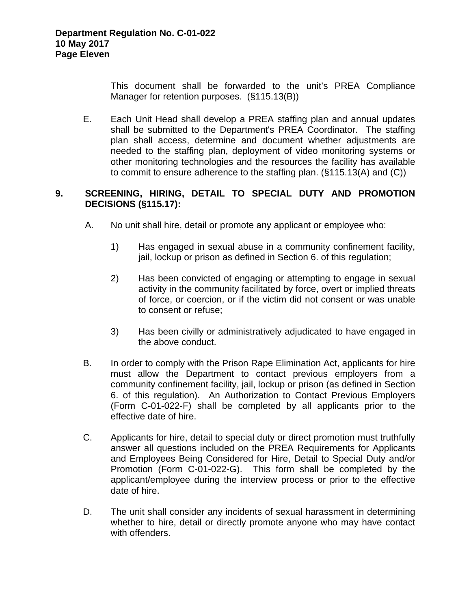This document shall be forwarded to the unit's PREA Compliance Manager for retention purposes. (§115.13(B))

E. Each Unit Head shall develop a PREA staffing plan and annual updates shall be submitted to the Department's PREA Coordinator. The staffing plan shall access, determine and document whether adjustments are needed to the staffing plan, deployment of video monitoring systems or other monitoring technologies and the resources the facility has available to commit to ensure adherence to the staffing plan. (§115.13(A) and (C))

# **9. SCREENING, HIRING, DETAIL TO SPECIAL DUTY AND PROMOTION DECISIONS (§115.17):**

- A. No unit shall hire, detail or promote any applicant or employee who:
	- 1) Has engaged in sexual abuse in a community confinement facility, jail, lockup or prison as defined in Section 6. of this regulation;
	- 2) Has been convicted of engaging or attempting to engage in sexual activity in the community facilitated by force, overt or implied threats of force, or coercion, or if the victim did not consent or was unable to consent or refuse;
	- 3) Has been civilly or administratively adjudicated to have engaged in the above conduct.
- B. In order to comply with the Prison Rape Elimination Act, applicants for hire must allow the Department to contact previous employers from a community confinement facility, jail, lockup or prison (as defined in Section 6. of this regulation). An Authorization to Contact Previous Employers (Form C-01-022-F) shall be completed by all applicants prior to the effective date of hire.
- C. Applicants for hire, detail to special duty or direct promotion must truthfully answer all questions included on the PREA Requirements for Applicants and Employees Being Considered for Hire, Detail to Special Duty and/or Promotion (Form C-01-022-G). This form shall be completed by the applicant/employee during the interview process or prior to the effective date of hire.
- D. The unit shall consider any incidents of sexual harassment in determining whether to hire, detail or directly promote anyone who may have contact with offenders.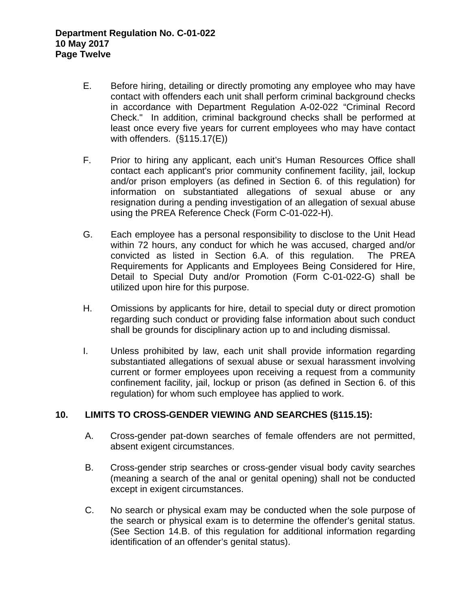- E. Before hiring, detailing or directly promoting any employee who may have contact with offenders each unit shall perform criminal background checks in accordance with Department Regulation A-02-022 "Criminal Record Check." In addition, criminal background checks shall be performed at least once every five years for current employees who may have contact with offenders. (§115.17(E))
- F. Prior to hiring any applicant, each unit's Human Resources Office shall contact each applicant's prior community confinement facility, jail, lockup and/or prison employers (as defined in Section 6. of this regulation) for information on substantiated allegations of sexual abuse or any resignation during a pending investigation of an allegation of sexual abuse using the PREA Reference Check (Form C-01-022-H).
- G. Each employee has a personal responsibility to disclose to the Unit Head within 72 hours, any conduct for which he was accused, charged and/or convicted as listed in Section 6.A. of this regulation. The PREA Requirements for Applicants and Employees Being Considered for Hire, Detail to Special Duty and/or Promotion (Form C-01-022-G) shall be utilized upon hire for this purpose.
- H. Omissions by applicants for hire, detail to special duty or direct promotion regarding such conduct or providing false information about such conduct shall be grounds for disciplinary action up to and including dismissal.
- I. Unless prohibited by law, each unit shall provide information regarding substantiated allegations of sexual abuse or sexual harassment involving current or former employees upon receiving a request from a community confinement facility, jail, lockup or prison (as defined in Section 6. of this regulation) for whom such employee has applied to work.

### **10. LIMITS TO CROSS-GENDER VIEWING AND SEARCHES (§115.15):**

- A. Cross-gender pat-down searches of female offenders are not permitted, absent exigent circumstances.
- B. Cross-gender strip searches or cross-gender visual body cavity searches (meaning a search of the anal or genital opening) shall not be conducted except in exigent circumstances.
- C. No search or physical exam may be conducted when the sole purpose of the search or physical exam is to determine the offender's genital status. (See Section 14.B. of this regulation for additional information regarding identification of an offender's genital status).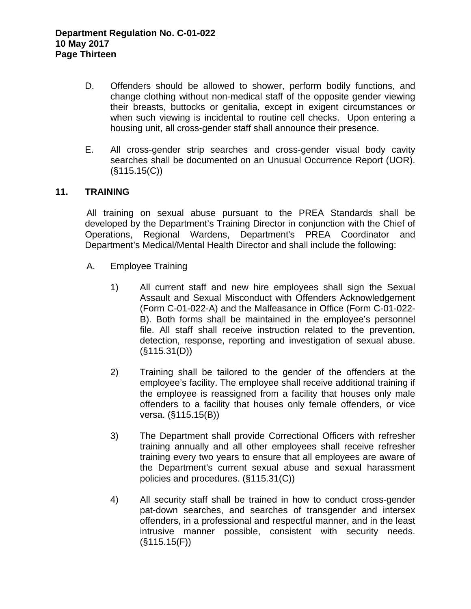- D. Offenders should be allowed to shower, perform bodily functions, and change clothing without non-medical staff of the opposite gender viewing their breasts, buttocks or genitalia, except in exigent circumstances or when such viewing is incidental to routine cell checks. Upon entering a housing unit, all cross-gender staff shall announce their presence.
- E. All cross-gender strip searches and cross-gender visual body cavity searches shall be documented on an Unusual Occurrence Report (UOR).  $(S115.15(C))$

### **11. TRAINING**

All training on sexual abuse pursuant to the PREA Standards shall be developed by the Department's Training Director in conjunction with the Chief of Operations, Regional Wardens, Department's PREA Coordinator and Department's Medical/Mental Health Director and shall include the following:

- A. Employee Training
	- 1) All current staff and new hire employees shall sign the Sexual Assault and Sexual Misconduct with Offenders Acknowledgement (Form C-01-022-A) and the Malfeasance in Office (Form C-01-022- B). Both forms shall be maintained in the employee's personnel file. All staff shall receive instruction related to the prevention, detection, response, reporting and investigation of sexual abuse. (§115.31(D))
	- 2) Training shall be tailored to the gender of the offenders at the employee's facility. The employee shall receive additional training if the employee is reassigned from a facility that houses only male offenders to a facility that houses only female offenders, or vice versa. (§115.15(B))
	- 3) The Department shall provide Correctional Officers with refresher training annually and all other employees shall receive refresher training every two years to ensure that all employees are aware of the Department's current sexual abuse and sexual harassment policies and procedures. (§115.31(C))
	- 4) All security staff shall be trained in how to conduct cross-gender pat-down searches, and searches of transgender and intersex offenders, in a professional and respectful manner, and in the least intrusive manner possible, consistent with security needs. (§115.15(F))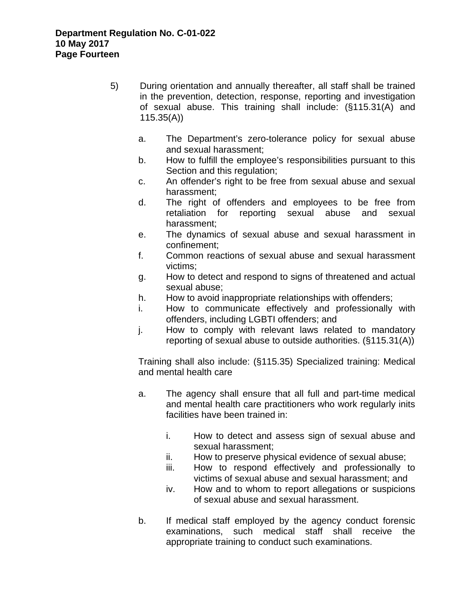- 5) During orientation and annually thereafter, all staff shall be trained in the prevention, detection, response, reporting and investigation of sexual abuse. This training shall include: (§115.31(A) and 115.35(A))
	- a. The Department's zero-tolerance policy for sexual abuse and sexual harassment;
	- b. How to fulfill the employee's responsibilities pursuant to this Section and this regulation;
	- c. An offender's right to be free from sexual abuse and sexual harassment;
	- d. The right of offenders and employees to be free from retaliation for reporting sexual abuse and sexual harassment;
	- e. The dynamics of sexual abuse and sexual harassment in confinement;
	- f. Common reactions of sexual abuse and sexual harassment victims;
	- g. How to detect and respond to signs of threatened and actual sexual abuse;
	- h. How to avoid inappropriate relationships with offenders;
	- i. How to communicate effectively and professionally with offenders, including LGBTI offenders; and
	- j. How to comply with relevant laws related to mandatory reporting of sexual abuse to outside authorities. (§115.31(A))

Training shall also include: (§115.35) Specialized training: Medical and mental health care

- a. The agency shall ensure that all full and part-time medical and mental health care practitioners who work regularly inits facilities have been trained in:
	- i. How to detect and assess sign of sexual abuse and sexual harassment;
	- ii. How to preserve physical evidence of sexual abuse;
	- iii. How to respond effectively and professionally to victims of sexual abuse and sexual harassment; and
	- iv. How and to whom to report allegations or suspicions of sexual abuse and sexual harassment.
- b. If medical staff employed by the agency conduct forensic examinations, such medical staff shall receive the appropriate training to conduct such examinations.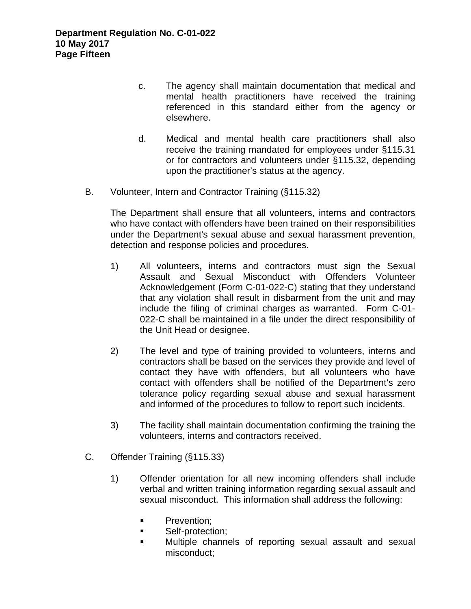- c. The agency shall maintain documentation that medical and mental health practitioners have received the training referenced in this standard either from the agency or elsewhere.
- d. Medical and mental health care practitioners shall also receive the training mandated for employees under §115.31 or for contractors and volunteers under §115.32, depending upon the practitioner's status at the agency.
- B. Volunteer, Intern and Contractor Training (§115.32)

 The Department shall ensure that all volunteers, interns and contractors who have contact with offenders have been trained on their responsibilities under the Department's sexual abuse and sexual harassment prevention, detection and response policies and procedures.

- 1) All volunteers**,** interns and contractors must sign the Sexual Assault and Sexual Misconduct with Offenders Volunteer Acknowledgement (Form C-01-022-C) stating that they understand that any violation shall result in disbarment from the unit and may include the filing of criminal charges as warranted. Form C-01- 022-C shall be maintained in a file under the direct responsibility of the Unit Head or designee.
- 2) The level and type of training provided to volunteers, interns and contractors shall be based on the services they provide and level of contact they have with offenders, but all volunteers who have contact with offenders shall be notified of the Department's zero tolerance policy regarding sexual abuse and sexual harassment and informed of the procedures to follow to report such incidents.
- 3) The facility shall maintain documentation confirming the training the volunteers, interns and contractors received.
- C. Offender Training (§115.33)
	- 1) Offender orientation for all new incoming offenders shall include verbal and written training information regarding sexual assault and sexual misconduct. This information shall address the following:
		- **Prevention;**
		- **Self-protection:**
		- Multiple channels of reporting sexual assault and sexual misconduct;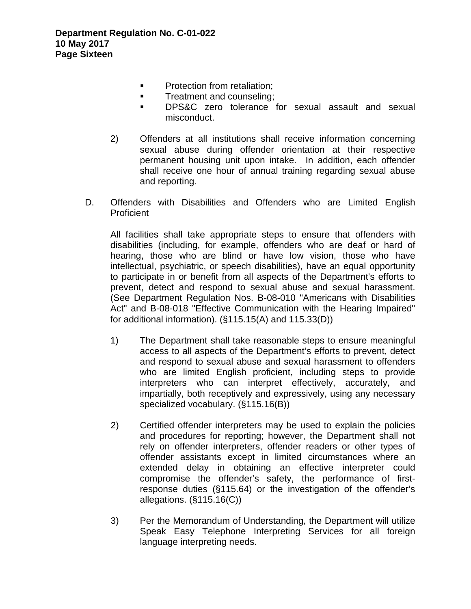- **Protection from retaliation:**
- **Treatment and counseling;**
- **DPS&C** zero tolerance for sexual assault and sexual misconduct.
- 2) Offenders at all institutions shall receive information concerning sexual abuse during offender orientation at their respective permanent housing unit upon intake. In addition, each offender shall receive one hour of annual training regarding sexual abuse and reporting.
- D. Offenders with Disabilities and Offenders who are Limited English Proficient

All facilities shall take appropriate steps to ensure that offenders with disabilities (including, for example, offenders who are deaf or hard of hearing, those who are blind or have low vision, those who have intellectual, psychiatric, or speech disabilities), have an equal opportunity to participate in or benefit from all aspects of the Department's efforts to prevent, detect and respond to sexual abuse and sexual harassment. (See Department Regulation Nos. B-08-010 "Americans with Disabilities Act" and B-08-018 "Effective Communication with the Hearing Impaired" for additional information). (§115.15(A) and 115.33(D))

- 1) The Department shall take reasonable steps to ensure meaningful access to all aspects of the Department's efforts to prevent, detect and respond to sexual abuse and sexual harassment to offenders who are limited English proficient, including steps to provide interpreters who can interpret effectively, accurately, and impartially, both receptively and expressively, using any necessary specialized vocabulary. (§115.16(B))
- 2) Certified offender interpreters may be used to explain the policies and procedures for reporting; however, the Department shall not rely on offender interpreters, offender readers or other types of offender assistants except in limited circumstances where an extended delay in obtaining an effective interpreter could compromise the offender's safety, the performance of firstresponse duties (§115.64) or the investigation of the offender's allegations. (§115.16(C))
- 3) Per the Memorandum of Understanding, the Department will utilize Speak Easy Telephone Interpreting Services for all foreign language interpreting needs.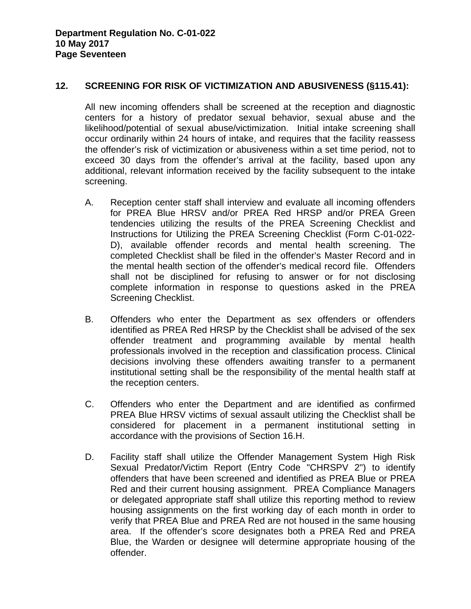#### **12. SCREENING FOR RISK OF VICTIMIZATION AND ABUSIVENESS (§115.41):**

 All new incoming offenders shall be screened at the reception and diagnostic centers for a history of predator sexual behavior, sexual abuse and the likelihood/potential of sexual abuse/victimization. Initial intake screening shall occur ordinarily within 24 hours of intake, and requires that the facility reassess the offender's risk of victimization or abusiveness within a set time period, not to exceed 30 days from the offender's arrival at the facility, based upon any additional, relevant information received by the facility subsequent to the intake screening.

- A. Reception center staff shall interview and evaluate all incoming offenders for PREA Blue HRSV and/or PREA Red HRSP and/or PREA Green tendencies utilizing the results of the PREA Screening Checklist and Instructions for Utilizing the PREA Screening Checklist (Form C-01-022- D), available offender records and mental health screening. The completed Checklist shall be filed in the offender's Master Record and in the mental health section of the offender's medical record file. Offenders shall not be disciplined for refusing to answer or for not disclosing complete information in response to questions asked in the PREA Screening Checklist.
- B. Offenders who enter the Department as sex offenders or offenders identified as PREA Red HRSP by the Checklist shall be advised of the sex offender treatment and programming available by mental health professionals involved in the reception and classification process. Clinical decisions involving these offenders awaiting transfer to a permanent institutional setting shall be the responsibility of the mental health staff at the reception centers.
- C. Offenders who enter the Department and are identified as confirmed PREA Blue HRSV victims of sexual assault utilizing the Checklist shall be considered for placement in a permanent institutional setting in accordance with the provisions of Section 16.H.
- D. Facility staff shall utilize the Offender Management System High Risk Sexual Predator/Victim Report (Entry Code "CHRSPV 2") to identify offenders that have been screened and identified as PREA Blue or PREA Red and their current housing assignment. PREA Compliance Managers or delegated appropriate staff shall utilize this reporting method to review housing assignments on the first working day of each month in order to verify that PREA Blue and PREA Red are not housed in the same housing area. If the offender's score designates both a PREA Red and PREA Blue, the Warden or designee will determine appropriate housing of the offender.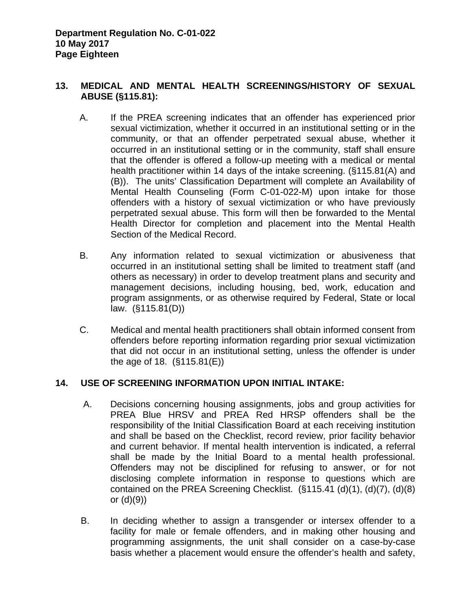# **13. MEDICAL AND MENTAL HEALTH SCREENINGS/HISTORY OF SEXUAL ABUSE (§115.81):**

- A. If the PREA screening indicates that an offender has experienced prior sexual victimization, whether it occurred in an institutional setting or in the community, or that an offender perpetrated sexual abuse, whether it occurred in an institutional setting or in the community, staff shall ensure that the offender is offered a follow-up meeting with a medical or mental health practitioner within 14 days of the intake screening. (§115.81(A) and (B)). The units' Classification Department will complete an Availability of Mental Health Counseling (Form C-01-022-M) upon intake for those offenders with a history of sexual victimization or who have previously perpetrated sexual abuse. This form will then be forwarded to the Mental Health Director for completion and placement into the Mental Health Section of the Medical Record.
- B. Any information related to sexual victimization or abusiveness that occurred in an institutional setting shall be limited to treatment staff (and others as necessary) in order to develop treatment plans and security and management decisions, including housing, bed, work, education and program assignments, or as otherwise required by Federal, State or local law. (§115.81(D))
- C. Medical and mental health practitioners shall obtain informed consent from offenders before reporting information regarding prior sexual victimization that did not occur in an institutional setting, unless the offender is under the age of 18. (§115.81(E))

### **14. USE OF SCREENING INFORMATION UPON INITIAL INTAKE:**

- A. Decisions concerning housing assignments, jobs and group activities for PREA Blue HRSV and PREA Red HRSP offenders shall be the responsibility of the Initial Classification Board at each receiving institution and shall be based on the Checklist, record review, prior facility behavior and current behavior. If mental health intervention is indicated, a referral shall be made by the Initial Board to a mental health professional. Offenders may not be disciplined for refusing to answer, or for not disclosing complete information in response to questions which are contained on the PREA Screening Checklist. (§115.41 (d)(1), (d)(7), (d)(8) or (d)(9))
- B. In deciding whether to assign a transgender or intersex offender to a facility for male or female offenders, and in making other housing and programming assignments, the unit shall consider on a case-by-case basis whether a placement would ensure the offender's health and safety,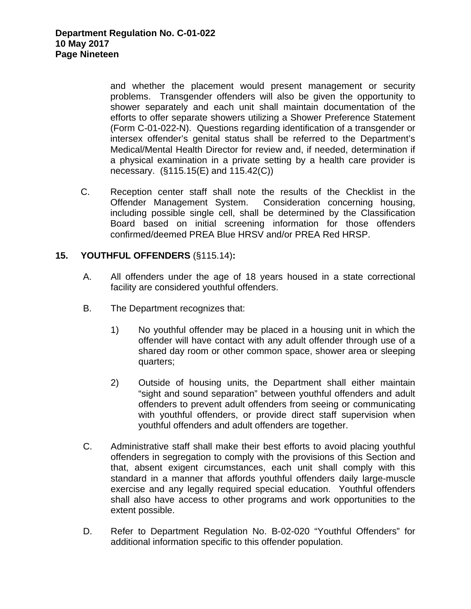and whether the placement would present management or security problems. Transgender offenders will also be given the opportunity to shower separately and each unit shall maintain documentation of the efforts to offer separate showers utilizing a Shower Preference Statement (Form C-01-022-N). Questions regarding identification of a transgender or intersex offender's genital status shall be referred to the Department's Medical/Mental Health Director for review and, if needed, determination if a physical examination in a private setting by a health care provider is necessary. (§115.15(E) and 115.42(C))

C. Reception center staff shall note the results of the Checklist in the Offender Management System. Consideration concerning housing, including possible single cell, shall be determined by the Classification Board based on initial screening information for those offenders confirmed/deemed PREA Blue HRSV and/or PREA Red HRSP.

#### **15. YOUTHFUL OFFENDERS** (§115.14)**:**

- A. All offenders under the age of 18 years housed in a state correctional facility are considered youthful offenders.
- B. The Department recognizes that:
	- 1) No youthful offender may be placed in a housing unit in which the offender will have contact with any adult offender through use of a shared day room or other common space, shower area or sleeping quarters;
	- 2) Outside of housing units, the Department shall either maintain "sight and sound separation" between youthful offenders and adult offenders to prevent adult offenders from seeing or communicating with youthful offenders, or provide direct staff supervision when youthful offenders and adult offenders are together.
- C. Administrative staff shall make their best efforts to avoid placing youthful offenders in segregation to comply with the provisions of this Section and that, absent exigent circumstances, each unit shall comply with this standard in a manner that affords youthful offenders daily large-muscle exercise and any legally required special education. Youthful offenders shall also have access to other programs and work opportunities to the extent possible.
- D. Refer to Department Regulation No. B-02-020 "Youthful Offenders" for additional information specific to this offender population.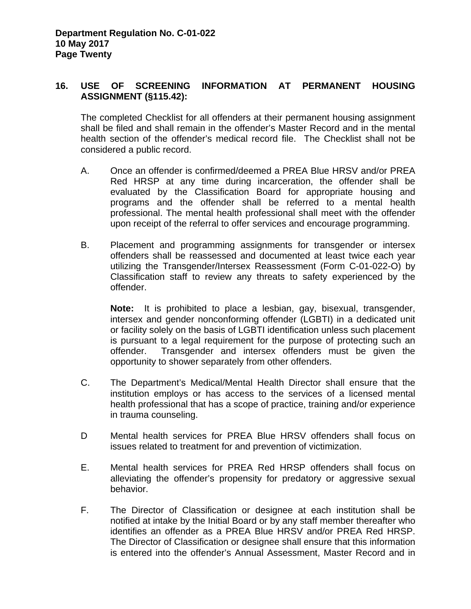# **16. USE OF SCREENING INFORMATION AT PERMANENT HOUSING ASSIGNMENT (§115.42):**

 The completed Checklist for all offenders at their permanent housing assignment shall be filed and shall remain in the offender's Master Record and in the mental health section of the offender's medical record file. The Checklist shall not be considered a public record.

- A. Once an offender is confirmed/deemed a PREA Blue HRSV and/or PREA Red HRSP at any time during incarceration, the offender shall be evaluated by the Classification Board for appropriate housing and programs and the offender shall be referred to a mental health professional. The mental health professional shall meet with the offender upon receipt of the referral to offer services and encourage programming.
- B. Placement and programming assignments for transgender or intersex offenders shall be reassessed and documented at least twice each year utilizing the Transgender/Intersex Reassessment (Form C-01-022-O) by Classification staff to review any threats to safety experienced by the offender.

**Note:** It is prohibited to place a lesbian, gay, bisexual, transgender, intersex and gender nonconforming offender (LGBTI) in a dedicated unit or facility solely on the basis of LGBTI identification unless such placement is pursuant to a legal requirement for the purpose of protecting such an offender. Transgender and intersex offenders must be given the opportunity to shower separately from other offenders.

- C. The Department's Medical/Mental Health Director shall ensure that the institution employs or has access to the services of a licensed mental health professional that has a scope of practice, training and/or experience in trauma counseling.
- D Mental health services for PREA Blue HRSV offenders shall focus on issues related to treatment for and prevention of victimization.
- E. Mental health services for PREA Red HRSP offenders shall focus on alleviating the offender's propensity for predatory or aggressive sexual behavior.
- F. The Director of Classification or designee at each institution shall be notified at intake by the Initial Board or by any staff member thereafter who identifies an offender as a PREA Blue HRSV and/or PREA Red HRSP. The Director of Classification or designee shall ensure that this information is entered into the offender's Annual Assessment, Master Record and in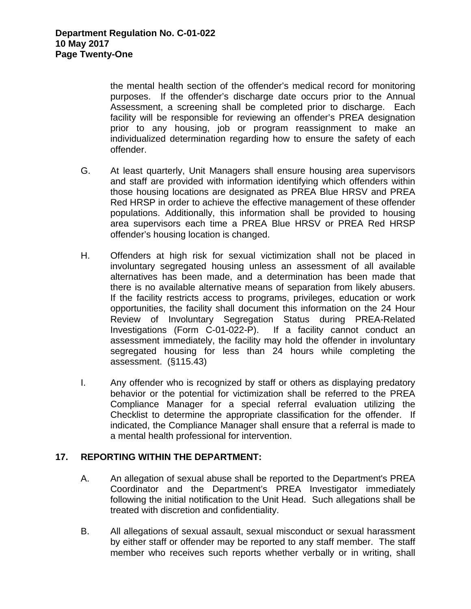the mental health section of the offender's medical record for monitoring purposes. If the offender's discharge date occurs prior to the Annual Assessment, a screening shall be completed prior to discharge. Each facility will be responsible for reviewing an offender's PREA designation prior to any housing, job or program reassignment to make an individualized determination regarding how to ensure the safety of each offender.

- G. At least quarterly, Unit Managers shall ensure housing area supervisors and staff are provided with information identifying which offenders within those housing locations are designated as PREA Blue HRSV and PREA Red HRSP in order to achieve the effective management of these offender populations. Additionally, this information shall be provided to housing area supervisors each time a PREA Blue HRSV or PREA Red HRSP offender's housing location is changed.
- H. Offenders at high risk for sexual victimization shall not be placed in involuntary segregated housing unless an assessment of all available alternatives has been made, and a determination has been made that there is no available alternative means of separation from likely abusers. If the facility restricts access to programs, privileges, education or work opportunities, the facility shall document this information on the 24 Hour Review of Involuntary Segregation Status during PREA-Related Investigations (Form C-01-022-P). If a facility cannot conduct an assessment immediately, the facility may hold the offender in involuntary segregated housing for less than 24 hours while completing the assessment. (§115.43)
- I. Any offender who is recognized by staff or others as displaying predatory behavior or the potential for victimization shall be referred to the PREA Compliance Manager for a special referral evaluation utilizing the Checklist to determine the appropriate classification for the offender.If indicated, the Compliance Manager shall ensure that a referral is made to a mental health professional for intervention.

### **17. REPORTING WITHIN THE DEPARTMENT:**

- A. An allegation of sexual abuse shall be reported to the Department's PREA Coordinator and the Department's PREA Investigator immediately following the initial notification to the Unit Head. Such allegations shall be treated with discretion and confidentiality.
- B. All allegations of sexual assault, sexual misconduct or sexual harassment by either staff or offender may be reported to any staff member. The staff member who receives such reports whether verbally or in writing, shall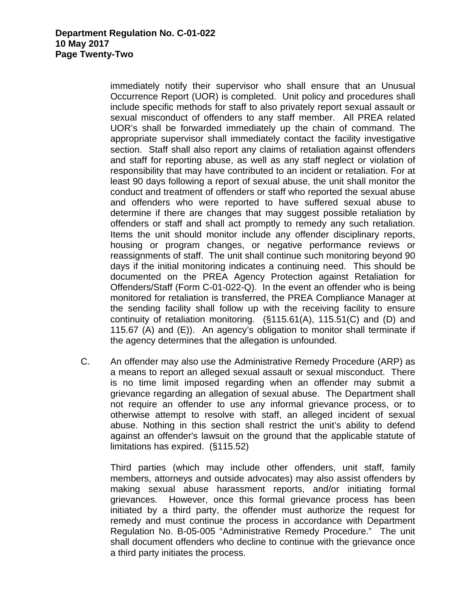immediately notify their supervisor who shall ensure that an Unusual Occurrence Report (UOR) is completed. Unit policy and procedures shall include specific methods for staff to also privately report sexual assault or sexual misconduct of offenders to any staff member.All PREA related UOR's shall be forwarded immediately up the chain of command. The appropriate supervisor shall immediately contact the facility investigative section.Staff shall also report any claims of retaliation against offenders and staff for reporting abuse, as well as any staff neglect or violation of responsibility that may have contributed to an incident or retaliation. For at least 90 days following a report of sexual abuse, the unit shall monitor the conduct and treatment of offenders or staff who reported the sexual abuse and offenders who were reported to have suffered sexual abuse to determine if there are changes that may suggest possible retaliation by offenders or staff and shall act promptly to remedy any such retaliation. Items the unit should monitor include any offender disciplinary reports, housing or program changes, or negative performance reviews or reassignments of staff. The unit shall continue such monitoring beyond 90 days if the initial monitoring indicates a continuing need.This should be documented on the PREA Agency Protection against Retaliation for Offenders/Staff (Form C-01-022-Q). In the event an offender who is being monitored for retaliation is transferred, the PREA Compliance Manager at the sending facility shall follow up with the receiving facility to ensure continuity of retaliation monitoring.(§115.61(A), 115.51(C) and (D) and 115.67 (A) and (E)). An agency's obligation to monitor shall terminate if the agency determines that the allegation is unfounded.

C. An offender may also use the Administrative Remedy Procedure (ARP) as a means to report an alleged sexual assault or sexual misconduct. There is no time limit imposed regarding when an offender may submit a grievance regarding an allegation of sexual abuse. The Department shall not require an offender to use any informal grievance process, or to otherwise attempt to resolve with staff, an alleged incident of sexual abuse. Nothing in this section shall restrict the unit's ability to defend against an offender's lawsuit on the ground that the applicable statute of limitations has expired. (§115.52)

 Third parties (which may include other offenders, unit staff, family members, attorneys and outside advocates) may also assist offenders by making sexual abuse harassment reports, and/or initiating formal grievances. However, once this formal grievance process has been initiated by a third party, the offender must authorize the request for remedy and must continue the process in accordance with Department Regulation No. B-05-005 "Administrative Remedy Procedure." The unit shall document offenders who decline to continue with the grievance once a third party initiates the process.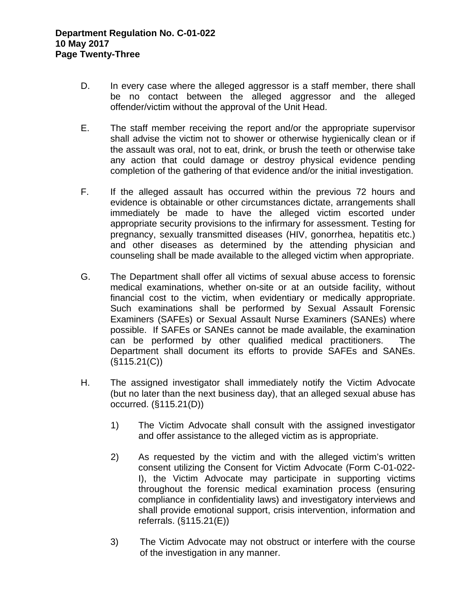- D. In every case where the alleged aggressor is a staff member, there shall be no contact between the alleged aggressor and the alleged offender/victim without the approval of the Unit Head.
- E. The staff member receiving the report and/or the appropriate supervisor shall advise the victim not to shower or otherwise hygienically clean or if the assault was oral, not to eat, drink, or brush the teeth or otherwise take any action that could damage or destroy physical evidence pending completion of the gathering of that evidence and/or the initial investigation.
- F. If the alleged assault has occurred within the previous 72 hours and evidence is obtainable or other circumstances dictate, arrangements shall immediately be made to have the alleged victim escorted under appropriate security provisions to the infirmary for assessment. Testing for pregnancy, sexually transmitted diseases (HIV, gonorrhea, hepatitis etc.) and other diseases as determined by the attending physician and counseling shall be made available to the alleged victim when appropriate.
- G. The Department shall offer all victims of sexual abuse access to forensic medical examinations, whether on-site or at an outside facility, without financial cost to the victim, when evidentiary or medically appropriate. Such examinations shall be performed by Sexual Assault Forensic Examiners (SAFEs) or Sexual Assault Nurse Examiners (SANEs) where possible. If SAFEs or SANEs cannot be made available, the examination can be performed by other qualified medical practitioners. The Department shall document its efforts to provide SAFEs and SANEs.  $(S115.21(C))$
- H. The assigned investigator shall immediately notify the Victim Advocate (but no later than the next business day), that an alleged sexual abuse has occurred. (§115.21(D))
	- 1) The Victim Advocate shall consult with the assigned investigator and offer assistance to the alleged victim as is appropriate.
	- 2) As requested by the victim and with the alleged victim's written consent utilizing the Consent for Victim Advocate (Form C-01-022- I), the Victim Advocate may participate in supporting victims throughout the forensic medical examination process (ensuring compliance in confidentiality laws) and investigatory interviews and shall provide emotional support, crisis intervention, information and referrals. (§115.21(E))
	- 3) The Victim Advocate may not obstruct or interfere with the course of the investigation in any manner.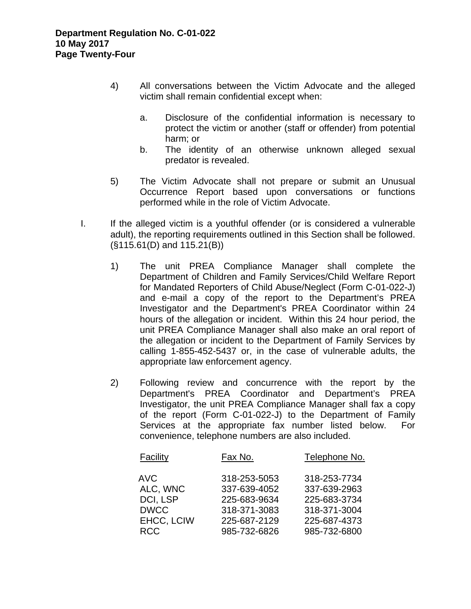- 4) All conversations between the Victim Advocate and the alleged victim shall remain confidential except when:
	- a. Disclosure of the confidential information is necessary to protect the victim or another (staff or offender) from potential harm; or
	- b. The identity of an otherwise unknown alleged sexual predator is revealed.
- 5) The Victim Advocate shall not prepare or submit an Unusual Occurrence Report based upon conversations or functions performed while in the role of Victim Advocate.
- I. If the alleged victim is a youthful offender (or is considered a vulnerable adult), the reporting requirements outlined in this Section shall be followed. (§115.61(D) and 115.21(B))
	- 1) The unit PREA Compliance Manager shall complete the Department of Children and Family Services/Child Welfare Report for Mandated Reporters of Child Abuse/Neglect (Form C-01-022-J) and e-mail a copy of the report to the Department's PREA Investigator and the Department's PREA Coordinator within 24 hours of the allegation or incident. Within this 24 hour period, the unit PREA Compliance Manager shall also make an oral report of the allegation or incident to the Department of Family Services by calling 1-855-452-5437 or, in the case of vulnerable adults, the appropriate law enforcement agency.
	- 2) Following review and concurrence with the report by the Department's PREA Coordinator and Department's PREA Investigator, the unit PREA Compliance Manager shall fax a copy of the report (Form C-01-022-J) to the Department of Family Services at the appropriate fax number listed below. For convenience, telephone numbers are also included.

| Facility    | Fax No.      | Telephone No. |
|-------------|--------------|---------------|
| <b>AVC</b>  | 318-253-5053 | 318-253-7734  |
| ALC, WNC    | 337-639-4052 | 337-639-2963  |
| DCI, LSP    | 225-683-9634 | 225-683-3734  |
| <b>DWCC</b> | 318-371-3083 | 318-371-3004  |
| EHCC, LCIW  | 225-687-2129 | 225-687-4373  |
| <b>RCC</b>  | 985-732-6826 | 985-732-6800  |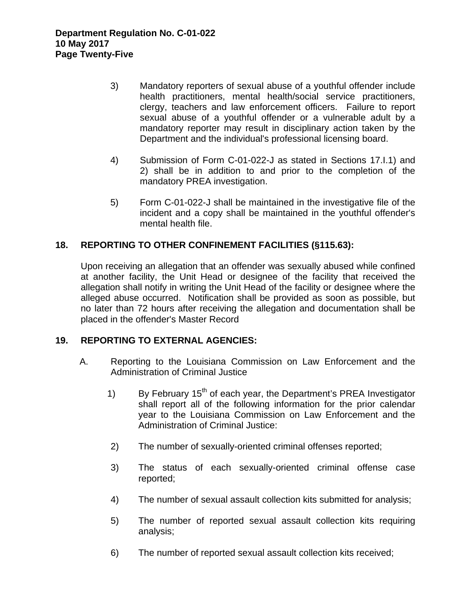- 3) Mandatory reporters of sexual abuse of a youthful offender include health practitioners, mental health/social service practitioners, clergy, teachers and law enforcement officers. Failure to report sexual abuse of a youthful offender or a vulnerable adult by a mandatory reporter may result in disciplinary action taken by the Department and the individual's professional licensing board.
- 4) Submission of Form C-01-022-J as stated in Sections 17.I.1) and 2) shall be in addition to and prior to the completion of the mandatory PREA investigation.
- 5) Form C-01-022-J shall be maintained in the investigative file of the incident and a copy shall be maintained in the youthful offender's mental health file.

# **18. REPORTING TO OTHER CONFINEMENT FACILITIES (§115.63):**

Upon receiving an allegation that an offender was sexually abused while confined at another facility, the Unit Head or designee of the facility that received the allegation shall notify in writing the Unit Head of the facility or designee where the alleged abuse occurred. Notification shall be provided as soon as possible, but no later than 72 hours after receiving the allegation and documentation shall be placed in the offender's Master Record

### **19. REPORTING TO EXTERNAL AGENCIES:**

- A. Reporting to the Louisiana Commission on Law Enforcement and the Administration of Criminal Justice
	- 1) By February  $15<sup>th</sup>$  of each year, the Department's PREA Investigator shall report all of the following information for the prior calendar year to the Louisiana Commission on Law Enforcement and the Administration of Criminal Justice:
	- 2) The number of sexually-oriented criminal offenses reported;
	- 3) The status of each sexually-oriented criminal offense case reported;
	- 4) The number of sexual assault collection kits submitted for analysis;
	- 5) The number of reported sexual assault collection kits requiring analysis;
	- 6) The number of reported sexual assault collection kits received;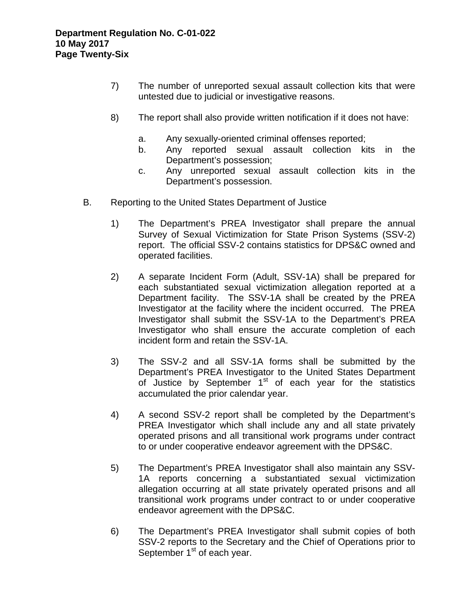- 7) The number of unreported sexual assault collection kits that were untested due to judicial or investigative reasons.
- 8) The report shall also provide written notification if it does not have:
	- a. Any sexually-oriented criminal offenses reported;
	- b. Any reported sexual assault collection kits in the Department's possession;
	- c. Any unreported sexual assault collection kits in the Department's possession.
- B. Reporting to the United States Department of Justice
	- 1) The Department's PREA Investigator shall prepare the annual Survey of Sexual Victimization for State Prison Systems (SSV-2) report. The official SSV-2 contains statistics for DPS&C owned and operated facilities.
	- 2) A separate Incident Form (Adult, SSV-1A) shall be prepared for each substantiated sexual victimization allegation reported at a Department facility. The SSV-1A shall be created by the PREA Investigator at the facility where the incident occurred. The PREA Investigator shall submit the SSV-1A to the Department's PREA Investigator who shall ensure the accurate completion of each incident form and retain the SSV-1A.
	- 3) The SSV-2 and all SSV-1A forms shall be submitted by the Department's PREA Investigator to the United States Department of Justice by September  $1<sup>st</sup>$  of each year for the statistics accumulated the prior calendar year.
	- 4) A second SSV-2 report shall be completed by the Department's PREA Investigator which shall include any and all state privately operated prisons and all transitional work programs under contract to or under cooperative endeavor agreement with the DPS&C.
	- 5) The Department's PREA Investigator shall also maintain any SSV-1A reports concerning a substantiated sexual victimization allegation occurring at all state privately operated prisons and all transitional work programs under contract to or under cooperative endeavor agreement with the DPS&C.
	- 6) The Department's PREA Investigator shall submit copies of both SSV-2 reports to the Secretary and the Chief of Operations prior to September  $1<sup>st</sup>$  of each year.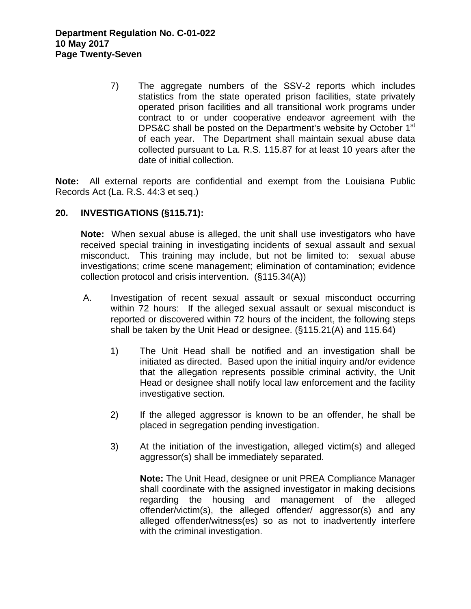7) The aggregate numbers of the SSV-2 reports which includes statistics from the state operated prison facilities, state privately operated prison facilities and all transitional work programs under contract to or under cooperative endeavor agreement with the DPS&C shall be posted on the Department's website by October 1<sup>st</sup> of each year. The Department shall maintain sexual abuse data collected pursuant to La. R.S. 115.87 for at least 10 years after the date of initial collection.

**Note:** All external reports are confidential and exempt from the Louisiana Public Records Act (La. R.S. 44:3 et seq.)

### **20. INVESTIGATIONS (§115.71):**

**Note:** When sexual abuse is alleged, the unit shall use investigators who have received special training in investigating incidents of sexual assault and sexual misconduct. This training may include, but not be limited to: sexual abuse investigations; crime scene management; elimination of contamination; evidence collection protocol and crisis intervention. (§115.34(A))

- A. Investigation of recent sexual assault or sexual misconduct occurring within 72 hours: If the alleged sexual assault or sexual misconduct is reported or discovered within 72 hours of the incident, the following steps shall be taken by the Unit Head or designee. (§115.21(A) and 115.64)
	- 1) The Unit Head shall be notified and an investigation shall be initiated as directed. Based upon the initial inquiry and/or evidence that the allegation represents possible criminal activity, the Unit Head or designee shall notify local law enforcement and the facility investigative section.
	- 2) If the alleged aggressor is known to be an offender, he shall be placed in segregation pending investigation.
	- 3) At the initiation of the investigation, alleged victim(s) and alleged aggressor(s) shall be immediately separated.

**Note:** The Unit Head, designee or unit PREA Compliance Manager shall coordinate with the assigned investigator in making decisions regarding the housing and management of the alleged offender/victim(s), the alleged offender/ aggressor(s) and any alleged offender/witness(es) so as not to inadvertently interfere with the criminal investigation.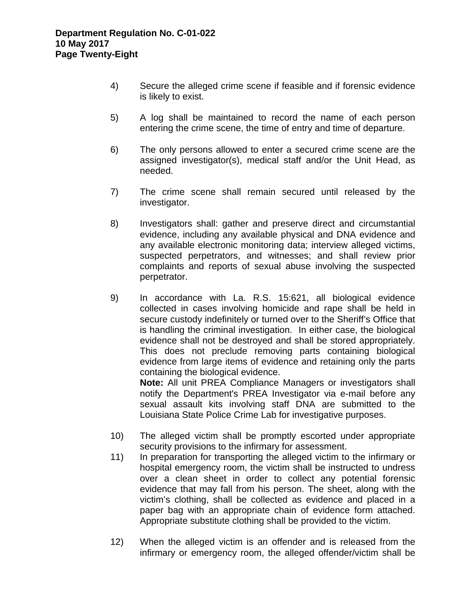- 4) Secure the alleged crime scene if feasible and if forensic evidence is likely to exist.
- 5) A log shall be maintained to record the name of each person entering the crime scene, the time of entry and time of departure.
- 6) The only persons allowed to enter a secured crime scene are the assigned investigator(s), medical staff and/or the Unit Head, as needed.
- 7) The crime scene shall remain secured until released by the investigator.
- 8) Investigators shall: gather and preserve direct and circumstantial evidence, including any available physical and DNA evidence and any available electronic monitoring data; interview alleged victims, suspected perpetrators, and witnesses; and shall review prior complaints and reports of sexual abuse involving the suspected perpetrator.
- 9) In accordance with La. R.S. 15:621, all biological evidence collected in cases involving homicide and rape shall be held in secure custody indefinitely or turned over to the Sheriff's Office that is handling the criminal investigation. In either case, the biological evidence shall not be destroyed and shall be stored appropriately. This does not preclude removing parts containing biological evidence from large items of evidence and retaining only the parts containing the biological evidence. **Note:** All unit PREA Compliance Managers or investigators shall

notify the Department's PREA Investigator via e-mail before any sexual assault kits involving staff DNA are submitted to the Louisiana State Police Crime Lab for investigative purposes.

- 10) The alleged victim shall be promptly escorted under appropriate security provisions to the infirmary for assessment.
- 11) In preparation for transporting the alleged victim to the infirmary or hospital emergency room, the victim shall be instructed to undress over a clean sheet in order to collect any potential forensic evidence that may fall from his person. The sheet, along with the victim's clothing, shall be collected as evidence and placed in a paper bag with an appropriate chain of evidence form attached. Appropriate substitute clothing shall be provided to the victim.
- 12) When the alleged victim is an offender and is released from the infirmary or emergency room, the alleged offender/victim shall be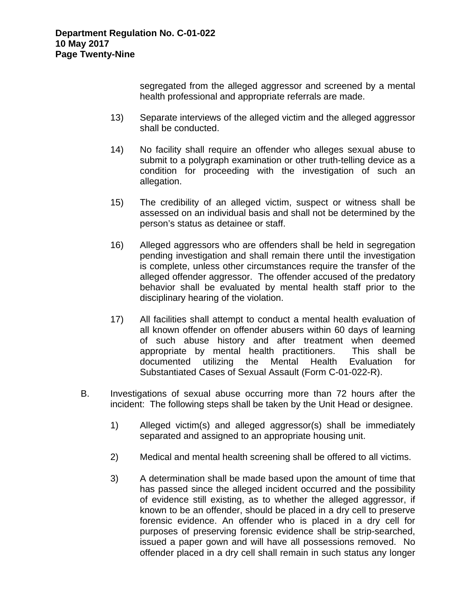segregated from the alleged aggressor and screened by a mental health professional and appropriate referrals are made.

- 13) Separate interviews of the alleged victim and the alleged aggressor shall be conducted.
- 14) No facility shall require an offender who alleges sexual abuse to submit to a polygraph examination or other truth-telling device as a condition for proceeding with the investigation of such an allegation.
- 15) The credibility of an alleged victim, suspect or witness shall be assessed on an individual basis and shall not be determined by the person's status as detainee or staff.
- 16) Alleged aggressors who are offenders shall be held in segregation pending investigation and shall remain there until the investigation is complete, unless other circumstances require the transfer of the alleged offender aggressor. The offender accused of the predatory behavior shall be evaluated by mental health staff prior to the disciplinary hearing of the violation.
- 17) All facilities shall attempt to conduct a mental health evaluation of all known offender on offender abusers within 60 days of learning of such abuse history and after treatment when deemed appropriate by mental health practitioners. This shall be documented utilizing the Mental Health Evaluation for Substantiated Cases of Sexual Assault (Form C-01-022-R).
- B. Investigations of sexual abuse occurring more than 72 hours after the incident: The following steps shall be taken by the Unit Head or designee.
	- 1) Alleged victim(s) and alleged aggressor(s) shall be immediately separated and assigned to an appropriate housing unit.
	- 2) Medical and mental health screening shall be offered to all victims.
	- 3) A determination shall be made based upon the amount of time that has passed since the alleged incident occurred and the possibility of evidence still existing, as to whether the alleged aggressor, if known to be an offender, should be placed in a dry cell to preserve forensic evidence. An offender who is placed in a dry cell for purposes of preserving forensic evidence shall be strip-searched, issued a paper gown and will have all possessions removed. No offender placed in a dry cell shall remain in such status any longer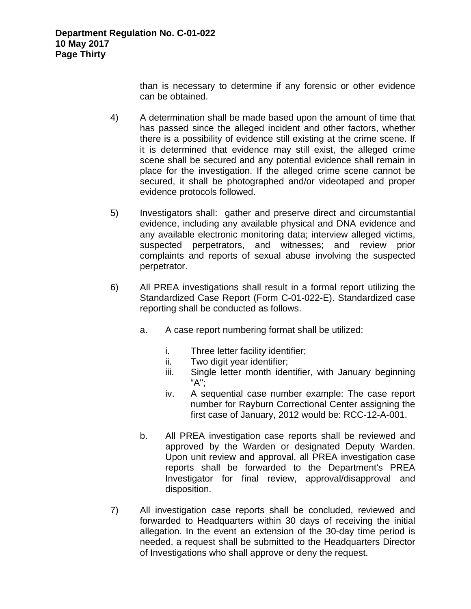than is necessary to determine if any forensic or other evidence can be obtained.

- 4) A determination shall be made based upon the amount of time that has passed since the alleged incident and other factors, whether there is a possibility of evidence still existing at the crime scene. If it is determined that evidence may still exist, the alleged crime scene shall be secured and any potential evidence shall remain in place for the investigation. If the alleged crime scene cannot be secured, it shall be photographed and/or videotaped and proper evidence protocols followed.
- 5) Investigators shall: gather and preserve direct and circumstantial evidence, including any available physical and DNA evidence and any available electronic monitoring data; interview alleged victims, suspected perpetrators, and witnesses; and review prior complaints and reports of sexual abuse involving the suspected perpetrator.
- 6) All PREA investigations shall result in a formal report utilizing the Standardized Case Report (Form C-01-022-E). Standardized case reporting shall be conducted as follows.
	- a. A case report numbering format shall be utilized:
		- i. Three letter facility identifier;
		- ii. Two digit year identifier;
		- iii. Single letter month identifier, with January beginning "A";
		- iv. A sequential case number example: The case report number for Rayburn Correctional Center assigning the first case of January, 2012 would be: RCC-12-A-001.
	- b. All PREA investigation case reports shall be reviewed and approved by the Warden or designated Deputy Warden. Upon unit review and approval, all PREA investigation case reports shall be forwarded to the Department's PREA Investigator for final review, approval/disapproval and disposition.
- 7) All investigation case reports shall be concluded, reviewed and forwarded to Headquarters within 30 days of receiving the initial allegation. In the event an extension of the 30-day time period is needed, a request shall be submitted to the Headquarters Director of Investigations who shall approve or deny the request.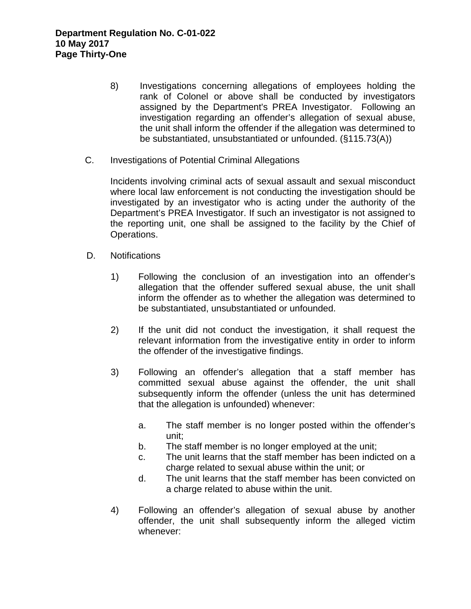- 8) Investigations concerning allegations of employees holding the rank of Colonel or above shall be conducted by investigators assigned by the Department's PREA Investigator. Following an investigation regarding an offender's allegation of sexual abuse, the unit shall inform the offender if the allegation was determined to be substantiated, unsubstantiated or unfounded. (§115.73(A))
- C. Investigations of Potential Criminal Allegations

Incidents involving criminal acts of sexual assault and sexual misconduct where local law enforcement is not conducting the investigation should be investigated by an investigator who is acting under the authority of the Department's PREA Investigator. If such an investigator is not assigned to the reporting unit, one shall be assigned to the facility by the Chief of Operations.

- D. Notifications
	- 1) Following the conclusion of an investigation into an offender's allegation that the offender suffered sexual abuse, the unit shall inform the offender as to whether the allegation was determined to be substantiated, unsubstantiated or unfounded.
	- 2) If the unit did not conduct the investigation, it shall request the relevant information from the investigative entity in order to inform the offender of the investigative findings.
	- 3) Following an offender's allegation that a staff member has committed sexual abuse against the offender, the unit shall subsequently inform the offender (unless the unit has determined that the allegation is unfounded) whenever:
		- a. The staff member is no longer posted within the offender's unit;
		- b. The staff member is no longer employed at the unit;
		- c. The unit learns that the staff member has been indicted on a charge related to sexual abuse within the unit; or
		- d. The unit learns that the staff member has been convicted on a charge related to abuse within the unit.
	- 4) Following an offender's allegation of sexual abuse by another offender, the unit shall subsequently inform the alleged victim whenever: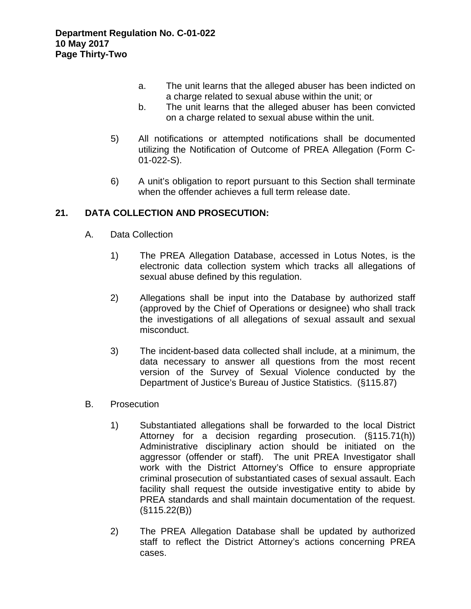- a. The unit learns that the alleged abuser has been indicted on a charge related to sexual abuse within the unit; or
- b. The unit learns that the alleged abuser has been convicted on a charge related to sexual abuse within the unit.
- 5) All notifications or attempted notifications shall be documented utilizing the Notification of Outcome of PREA Allegation (Form C-01-022-S).
- 6) A unit's obligation to report pursuant to this Section shall terminate when the offender achieves a full term release date.

# **21. DATA COLLECTION AND PROSECUTION:**

- A. Data Collection
	- 1) The PREA Allegation Database, accessed in Lotus Notes, is the electronic data collection system which tracks all allegations of sexual abuse defined by this regulation.
	- 2) Allegations shall be input into the Database by authorized staff (approved by the Chief of Operations or designee) who shall track the investigations of all allegations of sexual assault and sexual misconduct.
	- 3) The incident-based data collected shall include, at a minimum, the data necessary to answer all questions from the most recent version of the Survey of Sexual Violence conducted by the Department of Justice's Bureau of Justice Statistics. (§115.87)
- B. Prosecution
	- 1) Substantiated allegations shall be forwarded to the local District Attorney for a decision regarding prosecution. (§115.71(h)) Administrative disciplinary action should be initiated on the aggressor (offender or staff). The unit PREA Investigator shall work with the District Attorney's Office to ensure appropriate criminal prosecution of substantiated cases of sexual assault. Each facility shall request the outside investigative entity to abide by PREA standards and shall maintain documentation of the request. (§115.22(B))
	- 2) The PREA Allegation Database shall be updated by authorized staff to reflect the District Attorney's actions concerning PREA cases.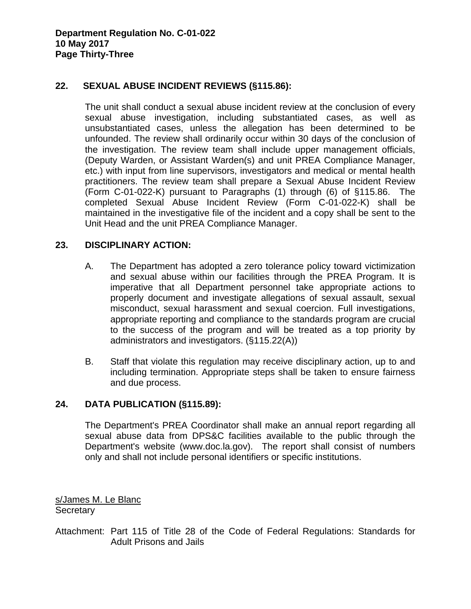### **22. SEXUAL ABUSE INCIDENT REVIEWS (§115.86):**

The unit shall conduct a sexual abuse incident review at the conclusion of every sexual abuse investigation, including substantiated cases, as well as unsubstantiated cases, unless the allegation has been determined to be unfounded. The review shall ordinarily occur within 30 days of the conclusion of the investigation. The review team shall include upper management officials, (Deputy Warden, or Assistant Warden(s) and unit PREA Compliance Manager, etc.) with input from line supervisors, investigators and medical or mental health practitioners. The review team shall prepare a Sexual Abuse Incident Review (Form C-01-022-K) pursuant to Paragraphs (1) through (6) of §115.86. The completed Sexual Abuse Incident Review (Form C-01-022-K) shall be maintained in the investigative file of the incident and a copy shall be sent to the Unit Head and the unit PREA Compliance Manager.

#### **23. DISCIPLINARY ACTION:**

- A. The Department has adopted a zero tolerance policy toward victimization and sexual abuse within our facilities through the PREA Program. It is imperative that all Department personnel take appropriate actions to properly document and investigate allegations of sexual assault, sexual misconduct, sexual harassment and sexual coercion. Full investigations, appropriate reporting and compliance to the standards program are crucial to the success of the program and will be treated as a top priority by administrators and investigators. (§115.22(A))
- B. Staff that violate this regulation may receive disciplinary action, up to and including termination. Appropriate steps shall be taken to ensure fairness and due process.

### **24. DATA PUBLICATION (§115.89):**

The Department's PREA Coordinator shall make an annual report regarding all sexual abuse data from DPS&C facilities available to the public through the Department's website (www.doc.la.gov). The report shall consist of numbers only and shall not include personal identifiers or specific institutions.

s/James M. Le Blanc **Secretary** 

Attachment: Part 115 of Title 28 of the Code of Federal Regulations: Standards for Adult Prisons and Jails